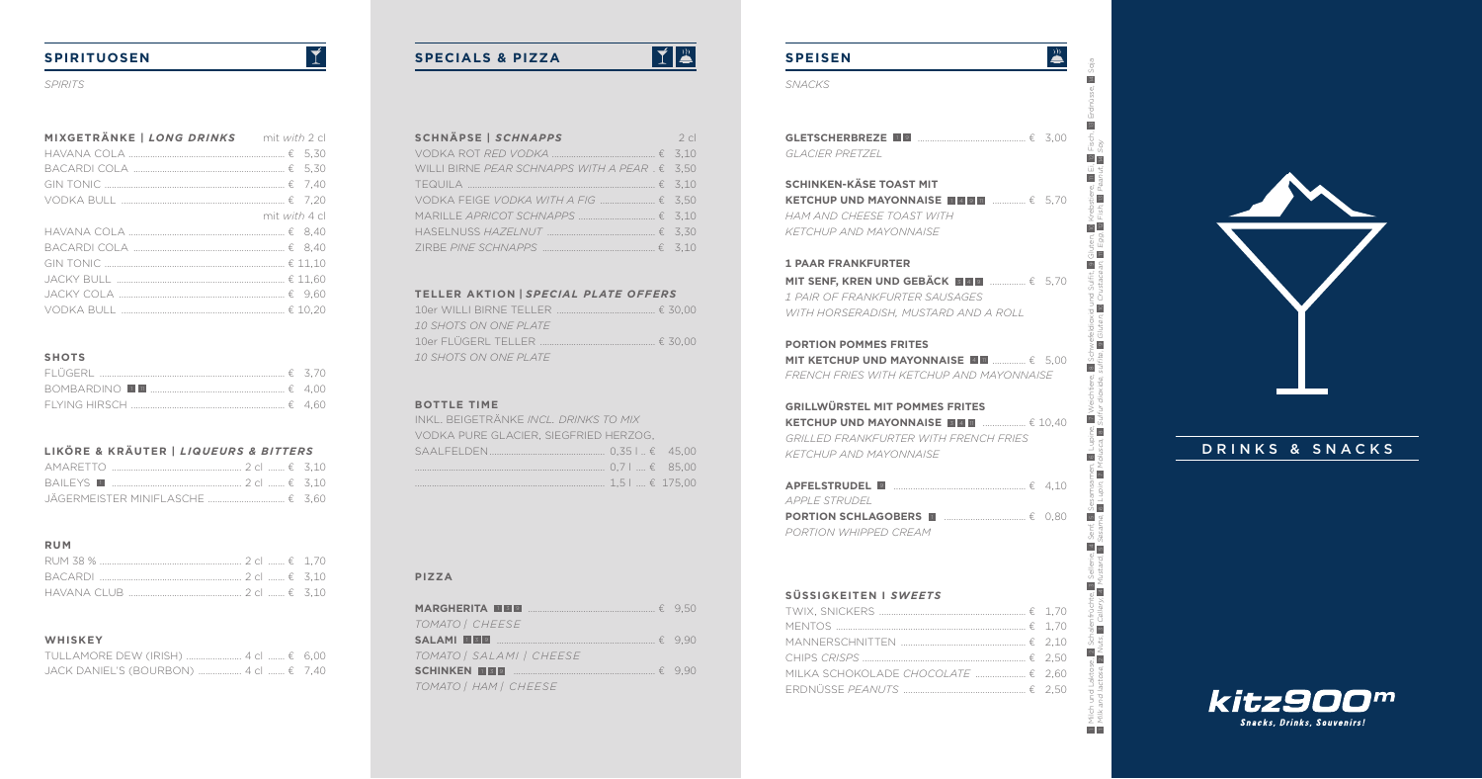# **SPEISEN**

| GI ACIFR PRETZEL |  |  |
|------------------|--|--|

# **SCHINKEN-KÄSE TOAST MIT KETCHUP UND MAYONNAISE**  1 4 <sup>9</sup> <sup>11</sup>.............. € 5,70

**MIT SENF, KREN UND GEBACK BE** <sup>9</sup>............... € 5,70 *1 PAIR OF FRANKFURTER SAUSAGES WITH HORSERADISH, MUSTARD AND A ROLL*

*HAM AND CHEESE TOAST WITH KETCHUP AND MAYONNAISE*

#### **1 PAAR FRANKFURTER**

**MIT KETCHUP UND MAYONNAISE <b>EE E** ................€ 5,00 *FRENCH FRIES WITH KETCHUP AND MAYONNAISE*

#### **PORTION POMMES FRITES**

#### **GRILLWÜRSTEL MIT POMMES FRITES**

**KETCHUP UND MAYONNAISE**  3 <sup>4</sup> <sup>11</sup>..................  $= 10.40$ *GRILLED FRANKFURTER WITH FRENCH FRIES KETCHUP AND MAYONNAISE*

| APPLE STRUDEL         |  |
|-----------------------|--|
|                       |  |
| PORTION WHIPPED CREAM |  |

### **SÜSSIGKEITEN I** *SWEETS*

| MILKA SCHOKOLADE <i>CHOCOLATE</i> € 2.60 |  |
|------------------------------------------|--|
|                                          |  |

*SPIRITS SNACKS*

IP

# **SPIRITUOSEN**

| MIXGETRÄNKE   LONG DRINKS | mit with 2 cl |
|---------------------------|---------------|
|                           |               |
|                           |               |
|                           |               |
|                           |               |
|                           | mit with 4 cl |
|                           |               |
|                           |               |
|                           |               |
|                           |               |
|                           |               |
|                           |               |

 $\overline{\mathbf{I}}$ 

## **SHOTS**

 Milch und Laktose, 2 Schalenfrüchte, 3 Sellerie, 4 Senf, 5 Sesamsamen, 6 Lupine, 7 Weichtiere, 8 Schwefeldioxid und Sulfit, 9 Gluten, 10 Krebstiere, 11 Ei, 12 Fisch, 13 Erdnüsse, 14 Soja Milk and lactose, 2 Nuts, 3 Cellery, 4 Mustard, 5 Sesame, 6 Lupin, 7 Molusca, 8 Sulfur dioxide, sulfite, 9 Gluten, 10 Crustacean, 11 Egg, 12 Fish, 13 Peanut, 14 Soy $\frac{1}{2}$  $\frac{1}{2}$  o  $\infty$  $\frac{1}{\sqrt{2}}$  $\frac{1}{2}$  |  $\infty$  $\overline{\circ}$  $\sum_{i=1}^{n}$  $rac{6}{6}$ ுற்  $\frac{a}{a}$   $\frac{b}{b}$ 

 $\frac{1}{2}$ 

 $\vert$   $\vert$ 

 $\overline{\mathbb{E}}$ 

 $\frac{2}{4}$  $=$  $\frac{1}{2}$   $\frac{1}{2}$ 

 $\boxed{2}$ 68  $\frac{9}{30}$  olut

--

 $rac{1}{\sqrt{2}}$   $rac{1}{\sqrt{2}}$ 

 $\frac{1}{\overline{a}}$ i g  $\frac{2}{\omega}$   $\frac{2}{\omega}$ 



# DRINKS & SNACKS



## **LIKÖRE & KRÄUTER |** *LIQUEURS & BITTERS*

#### **RUM**

## **WHISKEY**

| JACK DANIEL'S (BOURBON)  4 cl  € 7,40 |  |
|---------------------------------------|--|

| <b>SCHNÄPSE   SCHNAPPS</b><br>$\sim$ 2 cl                                                                        |  |
|------------------------------------------------------------------------------------------------------------------|--|
| VODKA ROT RED VODKA $\ldots$ $\qquad \ldots$ $\qquad \qquad$ $\qquad$ 5.10                                       |  |
| WILLI BIRNE PEAR SCHNAPPS WITH A PEAR $E = 3.50$                                                                 |  |
|                                                                                                                  |  |
|                                                                                                                  |  |
|                                                                                                                  |  |
| HASELNUSS HAZELNUT $\ldots$ $\qquad \qquad$ $\qquad$ 3.30                                                        |  |
| $ZIRBE$ PINE SCHNAPPS $\ldots$ $\ldots$ $\ldots$ $\ldots$ $\ldots$ $\ldots$ $\ldots$ $\qquad \qquad$ $\leq$ 3.10 |  |

#### **TELLER AKTION |** *SPECIAL PLATE OFFERS*

| <i>10 SHOTS ON ONE PLATE</i> |  |
|------------------------------|--|
|                              |  |
| 10 SHOTS ON ONE PLATE        |  |

### **BOTTLE TIME**

| INKL, BEIGETRÄNKE INCL, DRINKS TO MIX |  |
|---------------------------------------|--|
| VODKA PURE GLACIER. SIEGFRIED HERZOG. |  |
|                                       |  |
|                                       |  |
|                                       |  |

#### **PIZZA**

| <b>MARGHERITA DE 9</b> $\ldots$ $\ldots$ $\ldots$ $\ldots$ $\ldots$ $\in$ 9.50                                                 |  |
|--------------------------------------------------------------------------------------------------------------------------------|--|
| TOMATO   CHEESE                                                                                                                |  |
| <b>SALAMI</b> IS <b>9</b> $\ldots$ $\ldots$ $\ldots$ $\ldots$ $\ldots$ $\ldots$ $\ldots$ $\ldots$ $\ldots$ $\ldots$ $\in$ 9.90 |  |
| TOMATO   SALAMI   CHEESE                                                                                                       |  |
| <b>SCHINKEN II BE</b> $\qquad \qquad$                                                                                          |  |
| TOMATO   HAM   CHEESE                                                                                                          |  |

# **SPECIALS & PIZZA**